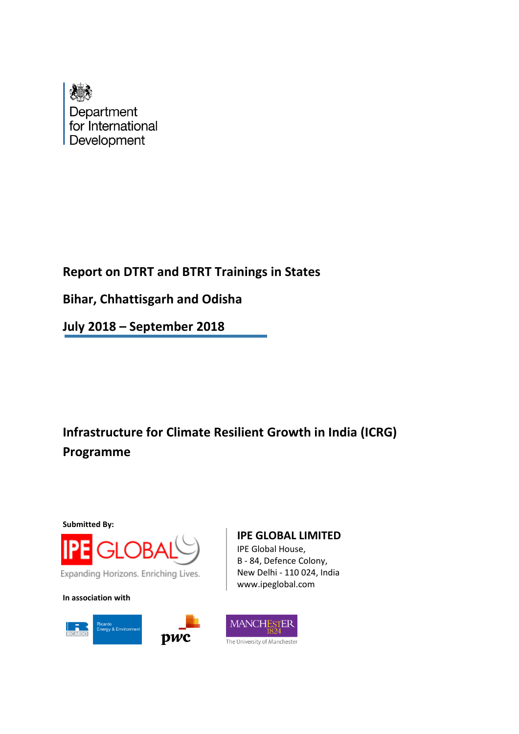

# **Report on DTRT and BTRT Trainings in States**

**Bihar, Chhattisgarh and Odisha**

**July 2018 – September 2018**

# **Infrastructure for Climate Resilient Growth in India (ICRG) Programme**

**Submitted By:**



**In association with**



# **IPE GLOBAL LIMITED**

IPE Global House, B - 84, Defence Colony, New Delhi - 110 024, India www.ipeglobal.com

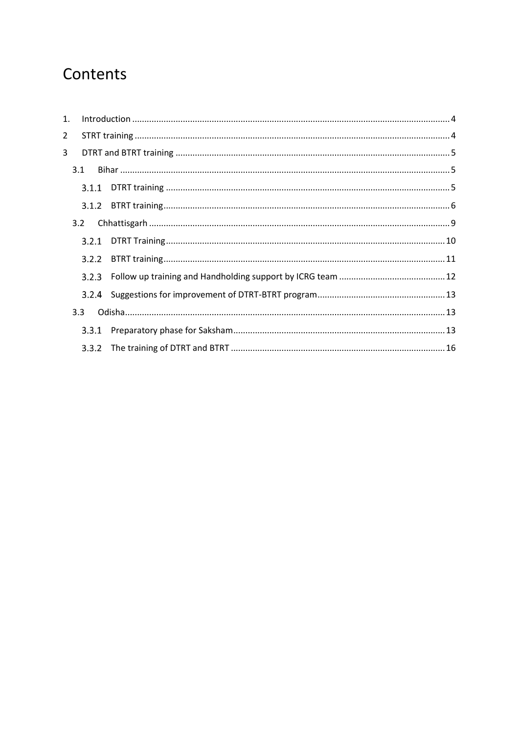# Contents

| 1.             |       |  |
|----------------|-------|--|
| $\overline{2}$ |       |  |
| 3              |       |  |
| 3.1            |       |  |
|                |       |  |
|                |       |  |
| 3.2            |       |  |
|                | 3.2.1 |  |
|                | 3.2.2 |  |
|                | 3.2.3 |  |
|                |       |  |
| 3.3            |       |  |
|                | 3.3.1 |  |
|                |       |  |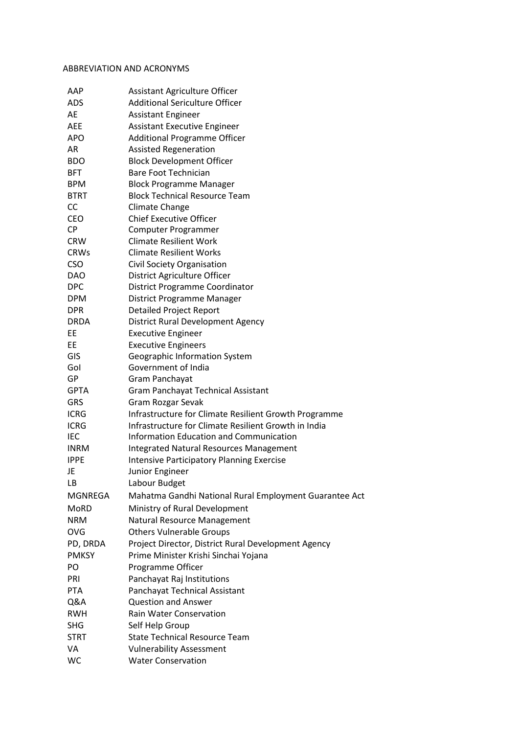#### ABBREVIATION AND ACRONYMS

| AAP          | <b>Assistant Agriculture Officer</b>                   |
|--------------|--------------------------------------------------------|
| <b>ADS</b>   | <b>Additional Sericulture Officer</b>                  |
| AE           | <b>Assistant Engineer</b>                              |
| <b>AEE</b>   | <b>Assistant Executive Engineer</b>                    |
| <b>APO</b>   | <b>Additional Programme Officer</b>                    |
| AR           | <b>Assisted Regeneration</b>                           |
| <b>BDO</b>   | <b>Block Development Officer</b>                       |
| <b>BFT</b>   | <b>Bare Foot Technician</b>                            |
| <b>BPM</b>   | <b>Block Programme Manager</b>                         |
| <b>BTRT</b>  | <b>Block Technical Resource Team</b>                   |
| <b>CC</b>    | <b>Climate Change</b>                                  |
| CEO          | <b>Chief Executive Officer</b>                         |
| <b>CP</b>    | Computer Programmer                                    |
| <b>CRW</b>   | <b>Climate Resilient Work</b>                          |
| <b>CRWs</b>  | <b>Climate Resilient Works</b>                         |
| <b>CSO</b>   | Civil Society Organisation                             |
| <b>DAO</b>   | District Agriculture Officer                           |
| <b>DPC</b>   | District Programme Coordinator                         |
| <b>DPM</b>   | District Programme Manager                             |
| <b>DPR</b>   | <b>Detailed Project Report</b>                         |
| <b>DRDA</b>  | District Rural Development Agency                      |
| EE           | <b>Executive Engineer</b>                              |
| EE           | <b>Executive Engineers</b>                             |
| GIS          | Geographic Information System                          |
| Gol          | Government of India                                    |
| GP           | Gram Panchayat                                         |
| <b>GPTA</b>  | Gram Panchayat Technical Assistant                     |
| <b>GRS</b>   | Gram Rozgar Sevak                                      |
| <b>ICRG</b>  | Infrastructure for Climate Resilient Growth Programme  |
| <b>ICRG</b>  | Infrastructure for Climate Resilient Growth in India   |
| IEC          | Information Education and Communication                |
| <b>INRM</b>  | <b>Integrated Natural Resources Management</b>         |
| <b>IPPE</b>  | <b>Intensive Participatory Planning Exercise</b>       |
| JE           | Junior Engineer                                        |
| LВ           | Labour Budget                                          |
| MGNREGA      | Mahatma Gandhi National Rural Employment Guarantee Act |
| MoRD         | Ministry of Rural Development                          |
| <b>NRM</b>   | Natural Resource Management                            |
| <b>OVG</b>   | <b>Others Vulnerable Groups</b>                        |
| PD, DRDA     | Project Director, District Rural Development Agency    |
| <b>PMKSY</b> | Prime Minister Krishi Sinchai Yojana                   |
| PO.          | Programme Officer                                      |
| PRI          | Panchayat Raj Institutions                             |
| <b>PTA</b>   | Panchayat Technical Assistant                          |
| Q&A          | <b>Question and Answer</b>                             |
| <b>RWH</b>   | <b>Rain Water Conservation</b>                         |
| <b>SHG</b>   | Self Help Group                                        |
| <b>STRT</b>  | <b>State Technical Resource Team</b>                   |
| VA           | <b>Vulnerability Assessment</b>                        |
| WC           | <b>Water Conservation</b>                              |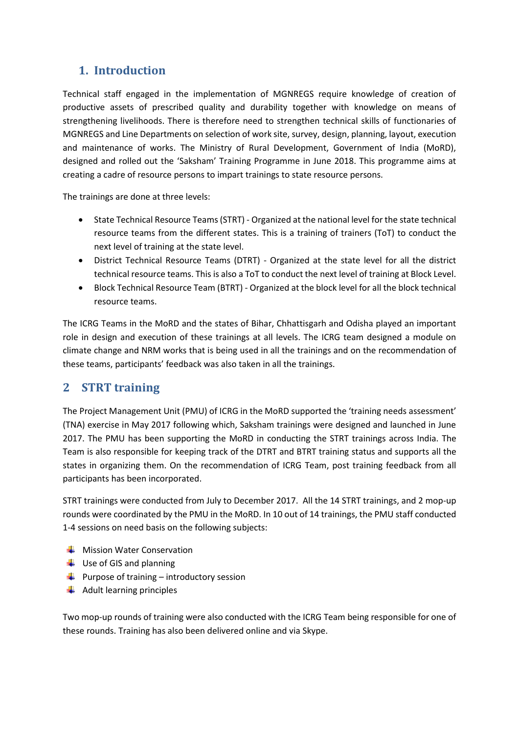# <span id="page-3-0"></span>**1. Introduction**

Technical staff engaged in the implementation of MGNREGS require knowledge of creation of productive assets of prescribed quality and durability together with knowledge on means of strengthening livelihoods. There is therefore need to strengthen technical skills of functionaries of MGNREGS and Line Departments on selection of work site, survey, design, planning, layout, execution and maintenance of works. The Ministry of Rural Development, Government of India (MoRD), designed and rolled out the 'Saksham' Training Programme in June 2018. This programme aims at creating a cadre of resource persons to impart trainings to state resource persons.

The trainings are done at three levels:

- State Technical Resource Teams (STRT) Organized at the national level for the state technical resource teams from the different states. This is a training of trainers (ToT) to conduct the next level of training at the state level.
- District Technical Resource Teams (DTRT) Organized at the state level for all the district technical resource teams. This is also a ToT to conduct the next level of training at Block Level.
- Block Technical Resource Team (BTRT) Organized at the block level for all the block technical resource teams.

The ICRG Teams in the MoRD and the states of Bihar, Chhattisgarh and Odisha played an important role in design and execution of these trainings at all levels. The ICRG team designed a module on climate change and NRM works that is being used in all the trainings and on the recommendation of these teams, participants' feedback was also taken in all the trainings.

# <span id="page-3-1"></span>**2 STRT training**

The Project Management Unit (PMU) of ICRG in the MoRD supported the 'training needs assessment' (TNA) exercise in May 2017 following which, Saksham trainings were designed and launched in June 2017. The PMU has been supporting the MoRD in conducting the STRT trainings across India. The Team is also responsible for keeping track of the DTRT and BTRT training status and supports all the states in organizing them. On the recommendation of ICRG Team, post training feedback from all participants has been incorporated.

STRT trainings were conducted from July to December 2017. All the 14 STRT trainings, and 2 mop-up rounds were coordinated by the PMU in the MoRD. In 10 out of 14 trainings, the PMU staff conducted 1-4 sessions on need basis on the following subjects:

- $\frac{1}{\sqrt{2}}$  Mission Water Conservation
- $\downarrow$  Use of GIS and planning
- $\downarrow$  Purpose of training introductory session
- $\bigstar$  Adult learning principles

Two mop-up rounds of training were also conducted with the ICRG Team being responsible for one of these rounds. Training has also been delivered online and via Skype.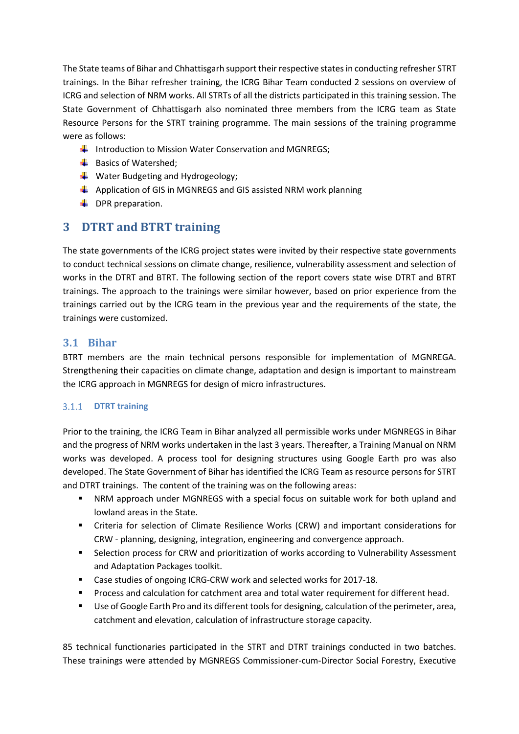The State teams of Bihar and Chhattisgarh support their respective statesin conducting refresher STRT trainings. In the Bihar refresher training, the ICRG Bihar Team conducted 2 sessions on overview of ICRG and selection of NRM works. All STRTs of all the districts participated in this training session. The State Government of Chhattisgarh also nominated three members from the ICRG team as State Resource Persons for the STRT training programme. The main sessions of the training programme were as follows:

- Introduction to Mission Water Conservation and MGNREGS:
- $\bigstar$  Basics of Watershed;
- $\downarrow$  Water Budgeting and Hydrogeology;
- $\ddot{+}$  Application of GIS in MGNREGS and GIS assisted NRM work planning
- $\downarrow$  DPR preparation.

# <span id="page-4-0"></span>**3 DTRT and BTRT training**

The state governments of the ICRG project states were invited by their respective state governments to conduct technical sessions on climate change, resilience, vulnerability assessment and selection of works in the DTRT and BTRT. The following section of the report covers state wise DTRT and BTRT trainings. The approach to the trainings were similar however, based on prior experience from the trainings carried out by the ICRG team in the previous year and the requirements of the state, the trainings were customized.

### <span id="page-4-1"></span>**3.1 Bihar**

BTRT members are the main technical persons responsible for implementation of MGNREGA. Strengthening their capacities on climate change, adaptation and design is important to mainstream the ICRG approach in MGNREGS for design of micro infrastructures.

### <span id="page-4-2"></span>**DTRT training**

Prior to the training, the ICRG Team in Bihar analyzed all permissible works under MGNREGS in Bihar and the progress of NRM works undertaken in the last 3 years. Thereafter, a Training Manual on NRM works was developed. A process tool for designing structures using Google Earth pro was also developed. The State Government of Bihar has identified the ICRG Team as resource persons for STRT and DTRT trainings. The content of the training was on the following areas:

- NRM approach under MGNREGS with a special focus on suitable work for both upland and lowland areas in the State.
- Criteria for selection of Climate Resilience Works (CRW) and important considerations for CRW - planning, designing, integration, engineering and convergence approach.
- Selection process for CRW and prioritization of works according to Vulnerability Assessment and Adaptation Packages toolkit.
- Case studies of ongoing ICRG-CRW work and selected works for 2017-18.
- Process and calculation for catchment area and total water requirement for different head.
- Use of Google Earth Pro and its different tools for designing, calculation of the perimeter, area, catchment and elevation, calculation of infrastructure storage capacity.

85 technical functionaries participated in the STRT and DTRT trainings conducted in two batches. These trainings were attended by MGNREGS Commissioner-cum-Director Social Forestry, Executive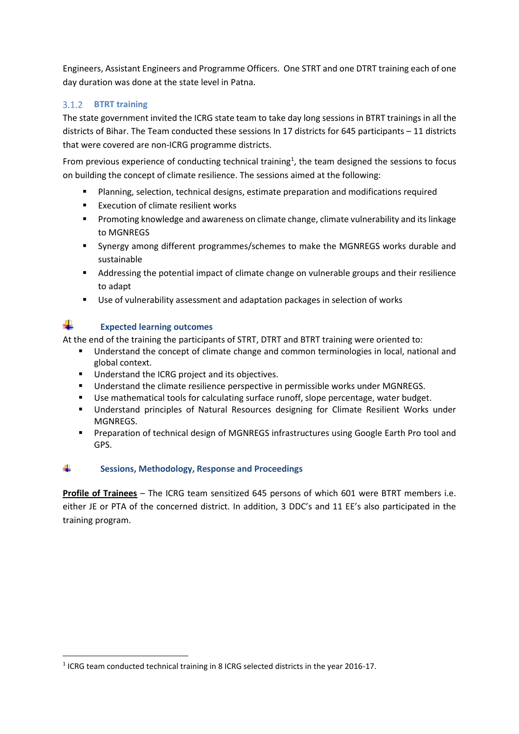Engineers, Assistant Engineers and Programme Officers. One STRT and one DTRT training each of one day duration was done at the state level in Patna.

### <span id="page-5-0"></span>**BTRT training**

The state government invited the ICRG state team to take day long sessions in BTRT trainings in all the districts of Bihar. The Team conducted these sessions In 17 districts for 645 participants – 11 districts that were covered are non-ICRG programme districts.

From previous experience of conducting technical training<sup>1</sup>, the team designed the sessions to focus on building the concept of climate resilience. The sessions aimed at the following:

- Planning, selection, technical designs, estimate preparation and modifications required
- Execution of climate resilient works
- Promoting knowledge and awareness on climate change, climate vulnerability and its linkage to MGNREGS
- Synergy among different programmes/schemes to make the MGNREGS works durable and sustainable
- Addressing the potential impact of climate change on vulnerable groups and their resilience to adapt
- Use of vulnerability assessment and adaptation packages in selection of works

# **Expected learning outcomes**

**.** 

At the end of the training the participants of STRT, DTRT and BTRT training were oriented to:

- Understand the concept of climate change and common terminologies in local, national and global context.
- Understand the ICRG project and its objectives.
- Understand the climate resilience perspective in permissible works under MGNREGS.
- Use mathematical tools for calculating surface runoff, slope percentage, water budget.
- **■** Understand principles of Natural Resources designing for Climate Resilient Works under MGNREGS.
- Preparation of technical design of MGNREGS infrastructures using Google Earth Pro tool and GPS.

#### ÷ **Sessions, Methodology, Response and Proceedings**

**Profile of Trainees** – The ICRG team sensitized 645 persons of which 601 were BTRT members i.e. either JE or PTA of the concerned district. In addition, 3 DDC's and 11 EE's also participated in the training program.

<sup>&</sup>lt;sup>1</sup> ICRG team conducted technical training in 8 ICRG selected districts in the year 2016-17.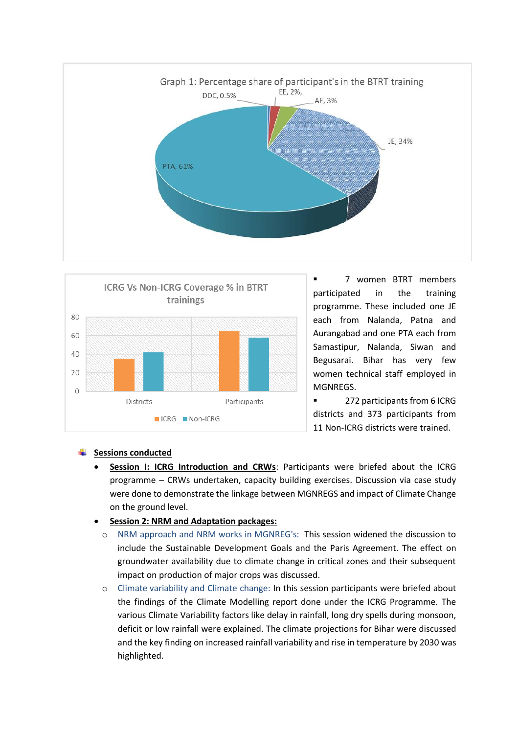



▪ 7 women BTRT members participated in the training programme. These included one JE each from Nalanda, Patna and Aurangabad and one PTA each from Samastipur, Nalanda, Siwan and Begusarai. Bihar has very few women technical staff employed in MGNREGS.

■ 272 participants from 6 ICRG districts and 373 participants from 11 Non-ICRG districts were trained.

### **Sessions conducted**

- **Session I: ICRG Introduction and CRWs**: Participants were briefed about the ICRG programme – CRWs undertaken, capacity building exercises. Discussion via case study were done to demonstrate the linkage between MGNREGS and impact of Climate Change on the ground level.
- **Session 2: NRM and Adaptation packages:**
	- o NRM approach and NRM works in MGNREG's: This session widened the discussion to include the Sustainable Development Goals and the Paris Agreement. The effect on groundwater availability due to climate change in critical zones and their subsequent impact on production of major crops was discussed.
	- o Climate variability and Climate change: In this session participants were briefed about the findings of the Climate Modelling report done under the ICRG Programme. The various Climate Variability factors like delay in rainfall, long dry spells during monsoon, deficit or low rainfall were explained. The climate projections for Bihar were discussed and the key finding on increased rainfall variability and rise in temperature by 2030 was highlighted.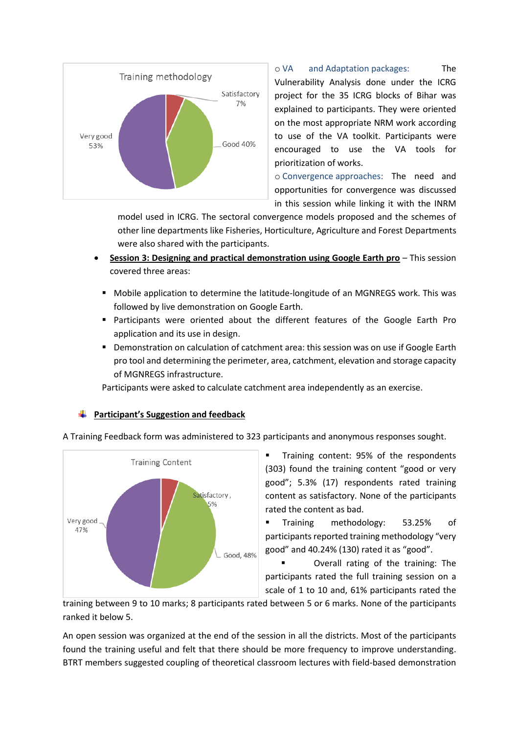

o VA and Adaptation packages: The Vulnerability Analysis done under the ICRG project for the 35 ICRG blocks of Bihar was explained to participants. They were oriented on the most appropriate NRM work according to use of the VA toolkit. Participants were encouraged to use the VA tools for prioritization of works.

o Convergence approaches: The need and opportunities for convergence was discussed in this session while linking it with the INRM

model used in ICRG. The sectoral convergence models proposed and the schemes of other line departments like Fisheries, Horticulture, Agriculture and Forest Departments were also shared with the participants.

- **Session 3: Designing and practical demonstration using Google Earth pro** This session covered three areas:
	- Mobile application to determine the latitude-longitude of an MGNREGS work. This was followed by live demonstration on Google Earth.
	- Participants were oriented about the different features of the Google Earth Pro application and its use in design.
	- **Demonstration on calculation of catchment area: this session was on use if Google Earth** pro tool and determining the perimeter, area, catchment, elevation and storage capacity of MGNREGS infrastructure.

Participants were asked to calculate catchment area independently as an exercise.

### **Participant's Suggestion and feedback**

A Training Feedback form was administered to 323 participants and anonymous responses sought.



Training content: 95% of the respondents (303) found the training content "good or very good"; 5.3% (17) respondents rated training content as satisfactory. None of the participants rated the content as bad.

Training methodology: 53.25% of participants reported training methodology "very good" and 40.24% (130) rated it as "good".

Overall rating of the training: The participants rated the full training session on a scale of 1 to 10 and, 61% participants rated the

training between 9 to 10 marks; 8 participants rated between 5 or 6 marks. None of the participants ranked it below 5.

An open session was organized at the end of the session in all the districts. Most of the participants found the training useful and felt that there should be more frequency to improve understanding. BTRT members suggested coupling of theoretical classroom lectures with field-based demonstration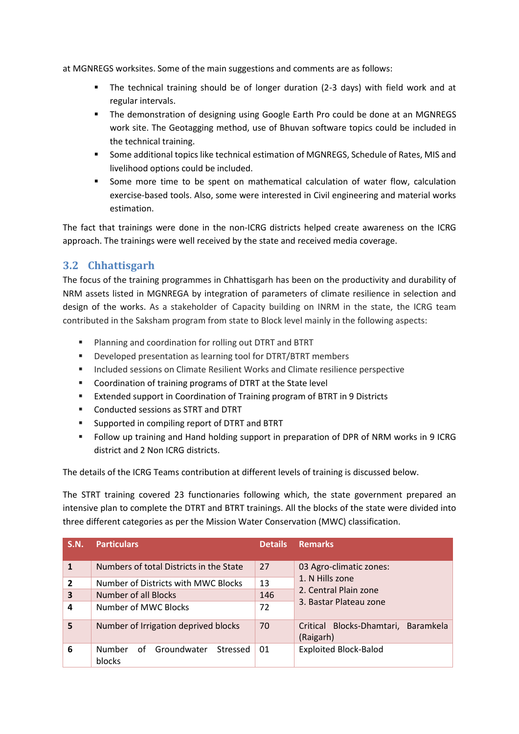at MGNREGS worksites. Some of the main suggestions and comments are as follows:

- The technical training should be of longer duration (2-3 days) with field work and at regular intervals.
- The demonstration of designing using Google Earth Pro could be done at an MGNREGS work site. The Geotagging method, use of Bhuvan software topics could be included in the technical training.
- Some additional topics like technical estimation of MGNREGS, Schedule of Rates, MIS and livelihood options could be included.
- Some more time to be spent on mathematical calculation of water flow, calculation exercise-based tools. Also, some were interested in Civil engineering and material works estimation.

The fact that trainings were done in the non-ICRG districts helped create awareness on the ICRG approach. The trainings were well received by the state and received media coverage.

# <span id="page-8-0"></span>**3.2 Chhattisgarh**

The focus of the training programmes in Chhattisgarh has been on the productivity and durability of NRM assets listed in MGNREGA by integration of parameters of climate resilience in selection and design of the works. As a stakeholder of Capacity building on INRM in the state, the ICRG team contributed in the Saksham program from state to Block level mainly in the following aspects:

- Planning and coordination for rolling out DTRT and BTRT
- Developed presentation as learning tool for DTRT/BTRT members
- Included sessions on Climate Resilient Works and Climate resilience perspective
- Coordination of training programs of DTRT at the State level
- Extended support in Coordination of Training program of BTRT in 9 Districts
- Conducted sessions as STRT and DTRT
- Supported in compiling report of DTRT and BTRT
- Follow up training and Hand holding support in preparation of DPR of NRM works in 9 ICRG district and 2 Non ICRG districts.

The details of the ICRG Teams contribution at different levels of training is discussed below.

The STRT training covered 23 functionaries following which, the state government prepared an intensive plan to complete the DTRT and BTRT trainings. All the blocks of the state were divided into three different categories as per the Mission Water Conservation (MWC) classification.

| S.N.         | <b>Particulars</b>                             | <b>Details</b> | <b>Remarks</b>                                   |
|--------------|------------------------------------------------|----------------|--------------------------------------------------|
| $\mathbf{1}$ | Numbers of total Districts in the State        | 27             | 03 Agro-climatic zones:                          |
| $\mathbf{2}$ | Number of Districts with MWC Blocks            | 13             | 1. N Hills zone                                  |
| 3            | Number of all Blocks                           | 146            | 2. Central Plain zone<br>3. Bastar Plateau zone  |
| 4            | Number of MWC Blocks                           | 72             |                                                  |
| 5            | Number of Irrigation deprived blocks           | 70             | Critical Blocks-Dhamtari, Baramkela<br>(Raigarh) |
| 6            | of Groundwater<br>Number<br>Stressed<br>blocks | 01             | <b>Exploited Block-Balod</b>                     |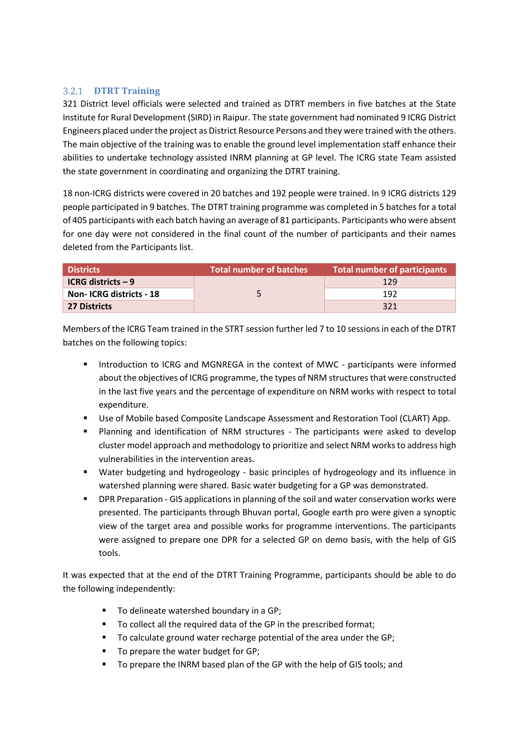### <span id="page-9-0"></span>**DTRT Training**

321 District level officials were selected and trained as DTRT members in five batches at the State Institute for Rural Development (SIRD) in Raipur. The state government had nominated 9 ICRG District Engineers placed under the project as District Resource Persons and they were trained with the others. The main objective of the training was to enable the ground level implementation staff enhance their abilities to undertake technology assisted INRM planning at GP level. The ICRG state Team assisted the state government in coordinating and organizing the DTRT training.

18 non-ICRG districts were covered in 20 batches and 192 people were trained. In 9 ICRG districts 129 people participated in 9 batches. The DTRT training programme was completed in 5 batches for a total of 405 participants with each batch having an average of 81 participants. Participants who were absent for one day were not considered in the final count of the number of participants and their names deleted from the Participants list.

| <b>Districts</b>          | <b>Total number of batches</b> | Total number of participants |
|---------------------------|--------------------------------|------------------------------|
| <b>ICRG districts - 9</b> |                                | 129                          |
| Non-ICRG districts - 18   |                                | 192                          |
| <b>27 Districts</b>       |                                | 321                          |

Members of the ICRG Team trained in the STRT session further led 7 to 10 sessions in each of the DTRT batches on the following topics:

- Introduction to ICRG and MGNREGA in the context of MWC participants were informed about the objectives of ICRG programme, the types of NRM structures that were constructed in the last five years and the percentage of expenditure on NRM works with respect to total expenditure.
- Use of Mobile based Composite Landscape Assessment and Restoration Tool (CLART) App.
- Planning and identification of NRM structures The participants were asked to develop cluster model approach and methodology to prioritize and select NRM works to address high vulnerabilities in the intervention areas.
- Water budgeting and hydrogeology basic principles of hydrogeology and its influence in watershed planning were shared. Basic water budgeting for a GP was demonstrated.
- DPR Preparation GIS applications in planning of the soil and water conservation works were presented. The participants through Bhuvan portal, Google earth pro were given a synoptic view of the target area and possible works for programme interventions. The participants were assigned to prepare one DPR for a selected GP on demo basis, with the help of GIS tools.

It was expected that at the end of the DTRT Training Programme, participants should be able to do the following independently:

- To delineate watershed boundary in a GP;
- To collect all the required data of the GP in the prescribed format;
- To calculate ground water recharge potential of the area under the GP;
- To prepare the water budget for GP;
- To prepare the INRM based plan of the GP with the help of GIS tools; and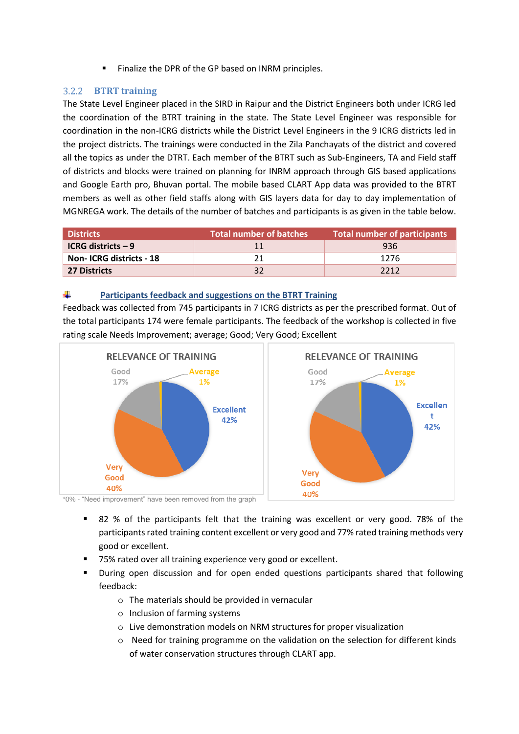Finalize the DPR of the GP based on INRM principles.

### <span id="page-10-0"></span>**BTRT training**

The State Level Engineer placed in the SIRD in Raipur and the District Engineers both under ICRG led the coordination of the BTRT training in the state. The State Level Engineer was responsible for coordination in the non-ICRG districts while the District Level Engineers in the 9 ICRG districts led in the project districts. The trainings were conducted in the Zila Panchayats of the district and covered all the topics as under the DTRT. Each member of the BTRT such as Sub-Engineers, TA and Field staff of districts and blocks were trained on planning for INRM approach through GIS based applications and Google Earth pro, Bhuvan portal. The mobile based CLART App data was provided to the BTRT members as well as other field staffs along with GIS layers data for day to day implementation of MGNREGA work. The details of the number of batches and participants is as given in the table below.

| <b>Districts</b>          | <b>Total number of batches</b> | Total number of participants |
|---------------------------|--------------------------------|------------------------------|
| <b>ICRG districts - 9</b> | 11                             | 936                          |
| Non-ICRG districts - 18   |                                | 1276                         |
| 27 Districts              | 32                             | 2212                         |

#### ÷ **Participants feedback and suggestions on the BTRT Training**

Feedback was collected from 745 participants in 7 ICRG districts as per the prescribed format. Out of the total participants 174 were female participants. The feedback of the workshop is collected in five rating scale Needs Improvement; average; Good; Very Good; Excellent



\*0% - "Need improvement" have been removed from the graph

- 82 % of the participants felt that the training was excellent or very good. 78% of the participants rated training content excellent or very good and 77% rated training methods very good or excellent.
- 75% rated over all training experience very good or excellent.
- During open discussion and for open ended questions participants shared that following feedback:
	- o The materials should be provided in vernacular
	- o Inclusion of farming systems
	- o Live demonstration models on NRM structures for proper visualization
	- $\circ$  Need for training programme on the validation on the selection for different kinds of water conservation structures through CLART app.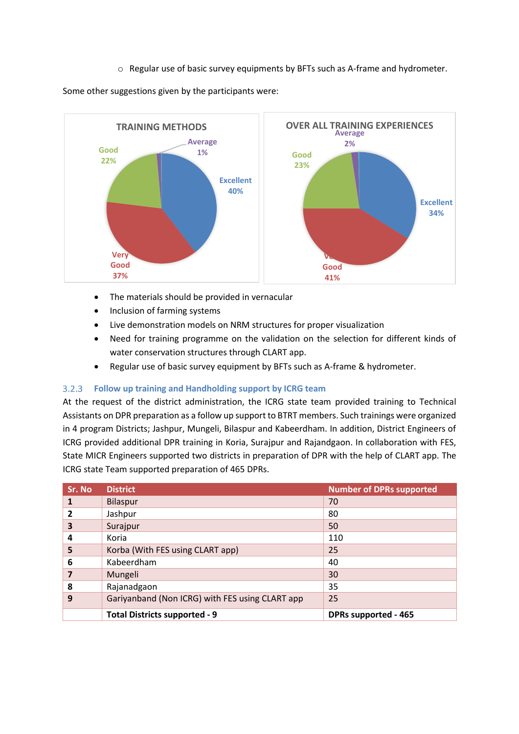$\circ$  Regular use of basic survey equipments by BFTs such as A-frame and hydrometer.

Some other suggestions given by the participants were:



- The materials should be provided in vernacular
- Inclusion of farming systems
- Live demonstration models on NRM structures for proper visualization
- Need for training programme on the validation on the selection for different kinds of water conservation structures through CLART app.
- Regular use of basic survey equipment by BFTs such as A-frame & hydrometer.

#### <span id="page-11-0"></span> $3.2.3$ **Follow up training and Handholding support by ICRG team**

At the request of the district administration, the ICRG state team provided training to Technical Assistants on DPR preparation as a follow up support to BTRT members. Such trainings were organized in 4 program Districts; Jashpur, Mungeli, Bilaspur and Kabeerdham. In addition, District Engineers of ICRG provided additional DPR training in Koria, Surajpur and Rajandgaon. In collaboration with FES, State MICR Engineers supported two districts in preparation of DPR with the help of CLART app. The ICRG state Team supported preparation of 465 DPRs.

| Sr. No | <b>District</b>                                 | <b>Number of DPRs supported</b> |
|--------|-------------------------------------------------|---------------------------------|
|        | <b>Bilaspur</b>                                 | 70                              |
| 2      | Jashpur                                         | 80                              |
| 3      | Surajpur                                        | 50                              |
| 4      | Koria                                           | 110                             |
| 5      | Korba (With FES using CLART app)                | 25                              |
| 6      | Kabeerdham                                      | 40                              |
| 7      | Mungeli                                         | 30                              |
| 8      | Rajanadgaon                                     | 35                              |
| 9      | Gariyanband (Non ICRG) with FES using CLART app | 25                              |
|        | <b>Total Districts supported - 9</b>            | <b>DPRs supported - 465</b>     |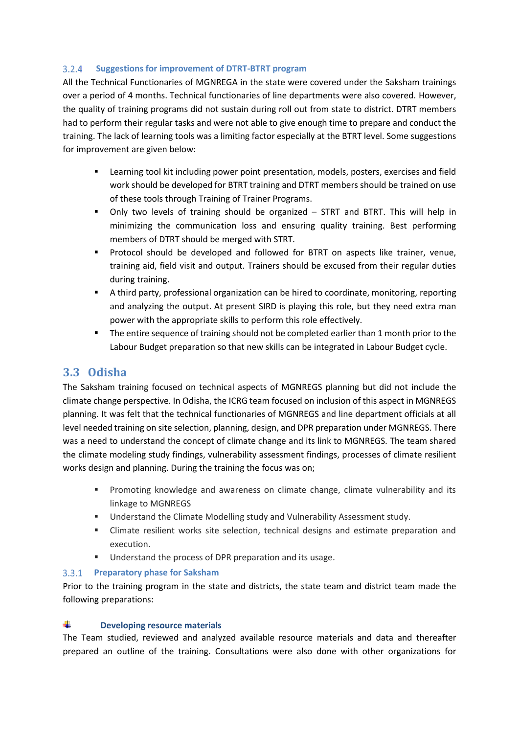#### <span id="page-12-0"></span> $3.2.4$ **Suggestions for improvement of DTRT-BTRT program**

All the Technical Functionaries of MGNREGA in the state were covered under the Saksham trainings over a period of 4 months. Technical functionaries of line departments were also covered. However, the quality of training programs did not sustain during roll out from state to district. DTRT members had to perform their regular tasks and were not able to give enough time to prepare and conduct the training. The lack of learning tools was a limiting factor especially at the BTRT level. Some suggestions for improvement are given below:

- Learning tool kit including power point presentation, models, posters, exercises and field work should be developed for BTRT training and DTRT members should be trained on use of these tools through Training of Trainer Programs.
- Only two levels of training should be organized STRT and BTRT. This will help in minimizing the communication loss and ensuring quality training. Best performing members of DTRT should be merged with STRT.
- Protocol should be developed and followed for BTRT on aspects like trainer, venue, training aid, field visit and output. Trainers should be excused from their regular duties during training.
- A third party, professional organization can be hired to coordinate, monitoring, reporting and analyzing the output. At present SIRD is playing this role, but they need extra man power with the appropriate skills to perform this role effectively.
- The entire sequence of training should not be completed earlier than 1 month prior to the Labour Budget preparation so that new skills can be integrated in Labour Budget cycle.

## <span id="page-12-1"></span>**3.3 Odisha**

The Saksham training focused on technical aspects of MGNREGS planning but did not include the climate change perspective. In Odisha, the ICRG team focused on inclusion of this aspect in MGNREGS planning. It was felt that the technical functionaries of MGNREGS and line department officials at all level needed training on site selection, planning, design, and DPR preparation under MGNREGS. There was a need to understand the concept of climate change and its link to MGNREGS. The team shared the climate modeling study findings, vulnerability assessment findings, processes of climate resilient works design and planning. During the training the focus was on;

- Promoting knowledge and awareness on climate change, climate vulnerability and its linkage to MGNREGS
- Understand the Climate Modelling study and Vulnerability Assessment study.
- Climate resilient works site selection, technical designs and estimate preparation and execution.
- Understand the process of DPR preparation and its usage.

### <span id="page-12-2"></span>**Preparatory phase for Saksham**

Prior to the training program in the state and districts, the state team and district team made the following preparations:

#### 4. **Developing resource materials**

The Team studied, reviewed and analyzed available resource materials and data and thereafter prepared an outline of the training. Consultations were also done with other organizations for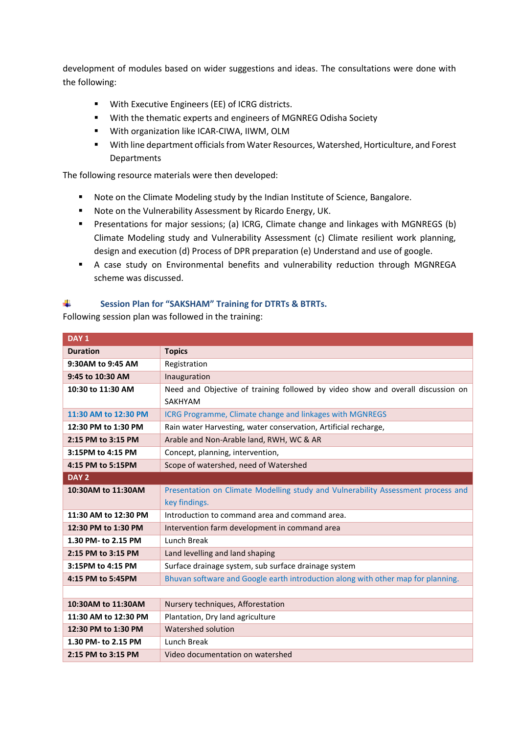development of modules based on wider suggestions and ideas. The consultations were done with the following:

- With Executive Engineers (EE) of ICRG districts.
- With the thematic experts and engineers of MGNREG Odisha Society
- With organization like ICAR-CIWA, IIWM, OLM
- With line department officials from Water Resources, Watershed, Horticulture, and Forest **Departments**

The following resource materials were then developed:

- Note on the Climate Modeling study by the Indian Institute of Science, Bangalore.
- Note on the Vulnerability Assessment by Ricardo Energy, UK.
- Presentations for major sessions; (a) ICRG, Climate change and linkages with MGNREGS (b) Climate Modeling study and Vulnerability Assessment (c) Climate resilient work planning, design and execution (d) Process of DPR preparation (e) Understand and use of google.
- A case study on Environmental benefits and vulnerability reduction through MGNREGA scheme was discussed.

#### ÷. **Session Plan for "SAKSHAM" Training for DTRTs & BTRTs.**

Following session plan was followed in the training:

| DAY <sub>1</sub>     |                                                                                            |  |  |
|----------------------|--------------------------------------------------------------------------------------------|--|--|
| <b>Duration</b>      | <b>Topics</b>                                                                              |  |  |
| 9:30AM to 9:45 AM    | Registration                                                                               |  |  |
| 9:45 to 10:30 AM     | Inauguration                                                                               |  |  |
| 10:30 to 11:30 AM    | Need and Objective of training followed by video show and overall discussion on<br>SAKHYAM |  |  |
| 11:30 AM to 12:30 PM | ICRG Programme, Climate change and linkages with MGNREGS                                   |  |  |
| 12:30 PM to 1:30 PM  | Rain water Harvesting, water conservation, Artificial recharge,                            |  |  |
| 2:15 PM to 3:15 PM   | Arable and Non-Arable land, RWH, WC & AR                                                   |  |  |
| 3:15PM to 4:15 PM    | Concept, planning, intervention,                                                           |  |  |
| 4:15 PM to 5:15PM    | Scope of watershed, need of Watershed                                                      |  |  |
| DAY <sub>2</sub>     |                                                                                            |  |  |
| 10:30AM to 11:30AM   | Presentation on Climate Modelling study and Vulnerability Assessment process and           |  |  |
|                      | key findings.                                                                              |  |  |
| 11:30 AM to 12:30 PM | Introduction to command area and command area.                                             |  |  |
| 12:30 PM to 1:30 PM  | Intervention farm development in command area                                              |  |  |
| 1.30 PM- to 2.15 PM  | Lunch Break                                                                                |  |  |
| 2:15 PM to 3:15 PM   | Land levelling and land shaping                                                            |  |  |
| 3:15PM to 4:15 PM    | Surface drainage system, sub surface drainage system                                       |  |  |
| 4:15 PM to 5:45PM    | Bhuvan software and Google earth introduction along with other map for planning.           |  |  |
|                      |                                                                                            |  |  |
| 10:30AM to 11:30AM   | Nursery techniques, Afforestation                                                          |  |  |
| 11:30 AM to 12:30 PM | Plantation, Dry land agriculture                                                           |  |  |
| 12:30 PM to 1:30 PM  | Watershed solution                                                                         |  |  |
| 1.30 PM- to 2.15 PM  | Lunch Break                                                                                |  |  |
| 2:15 PM to 3:15 PM   | Video documentation on watershed                                                           |  |  |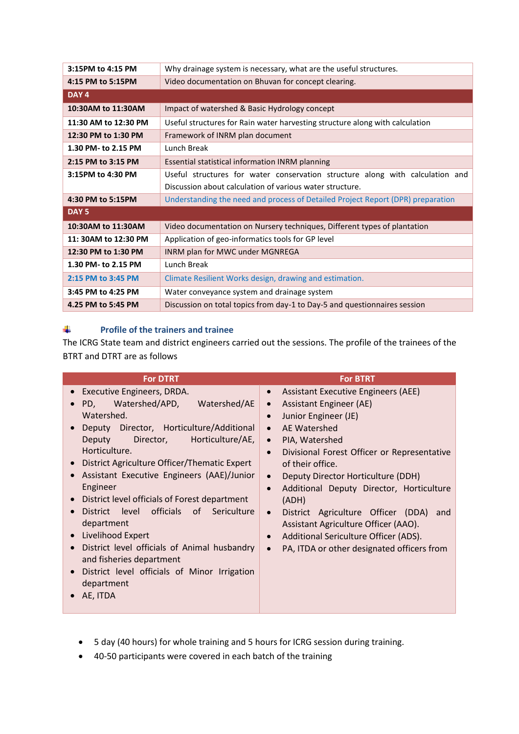| 3:15PM to 4:15 PM    | Why drainage system is necessary, what are the useful structures.               |  |  |
|----------------------|---------------------------------------------------------------------------------|--|--|
| 4:15 PM to 5:15PM    | Video documentation on Bhuvan for concept clearing.                             |  |  |
| DAY <sub>4</sub>     |                                                                                 |  |  |
| 10:30AM to 11:30AM   | Impact of watershed & Basic Hydrology concept                                   |  |  |
| 11:30 AM to 12:30 PM | Useful structures for Rain water harvesting structure along with calculation    |  |  |
| 12:30 PM to 1:30 PM  | Framework of INRM plan document                                                 |  |  |
| 1.30 PM- to 2.15 PM  | <b>Lunch Break</b>                                                              |  |  |
| 2:15 PM to 3:15 PM   | Essential statistical information INRM planning                                 |  |  |
| 3:15PM to 4:30 PM    | Useful structures for water conservation structure along with calculation and   |  |  |
|                      | Discussion about calculation of various water structure.                        |  |  |
| 4:30 PM to 5:15PM    | Understanding the need and process of Detailed Project Report (DPR) preparation |  |  |
| DAY <sub>5</sub>     |                                                                                 |  |  |
| 10:30AM to 11:30AM   | Video documentation on Nursery techniques, Different types of plantation        |  |  |
| 11: 30AM to 12:30 PM | Application of geo-informatics tools for GP level                               |  |  |
| 12:30 PM to 1:30 PM  | INRM plan for MWC under MGNREGA                                                 |  |  |
| 1.30 PM- to 2.15 PM  | Lunch Break                                                                     |  |  |
| 2:15 PM to 3:45 PM   | Climate Resilient Works design, drawing and estimation.                         |  |  |
| 3:45 PM to 4:25 PM   | Water conveyance system and drainage system                                     |  |  |
| 4.25 PM to 5:45 PM   | Discussion on total topics from day-1 to Day-5 and questionnaires session       |  |  |

#### 41 **Profile of the trainers and trainee**

The ICRG State team and district engineers carried out the sessions. The profile of the trainees of the BTRT and DTRT are as follows

| <b>For DTRT</b>                                                                                                                                                                                                                                                                                                                                                                                                                                                                                                                                                                                                                                                            | <b>For BTRT</b>                                                                                                                                                                                                                                                                                                                                                                                                                                                                                                                                      |
|----------------------------------------------------------------------------------------------------------------------------------------------------------------------------------------------------------------------------------------------------------------------------------------------------------------------------------------------------------------------------------------------------------------------------------------------------------------------------------------------------------------------------------------------------------------------------------------------------------------------------------------------------------------------------|------------------------------------------------------------------------------------------------------------------------------------------------------------------------------------------------------------------------------------------------------------------------------------------------------------------------------------------------------------------------------------------------------------------------------------------------------------------------------------------------------------------------------------------------------|
| Executive Engineers, DRDA.<br>$\bullet$<br>Watershed/AE<br>Watershed/APD,<br>PD,<br>$\bullet$<br>Watershed.<br>Deputy Director, Horticulture/Additional<br>Director,<br>Horticulture/AE,<br><b>Deputy</b><br>Horticulture.<br>District Agriculture Officer/Thematic Expert<br>Assistant Executive Engineers (AAE)/Junior<br>Engineer<br>District level officials of Forest department<br>$\bullet$<br>level officials of Sericulture<br><b>District</b><br>department<br>Livelihood Expert<br>$\bullet$<br>District level officials of Animal husbandry<br>and fisheries department<br>District level officials of Minor Irrigation<br>$\bullet$<br>department<br>AE, ITDA | <b>Assistant Executive Engineers (AEE)</b><br>$\bullet$<br>Assistant Engineer (AE)<br>$\bullet$<br>Junior Engineer (JE)<br>AE Watershed<br>$\bullet$<br>PIA, Watershed<br>$\bullet$<br>Divisional Forest Officer or Representative<br>of their office.<br>Deputy Director Horticulture (DDH)<br>$\bullet$<br>Additional Deputy Director, Horticulture<br>$\bullet$<br>(ADH)<br>District Agriculture Officer (DDA) and<br>Assistant Agriculture Officer (AAO).<br>Additional Sericulture Officer (ADS).<br>PA, ITDA or other designated officers from |

- 5 day (40 hours) for whole training and 5 hours for ICRG session during training.
- 40-50 participants were covered in each batch of the training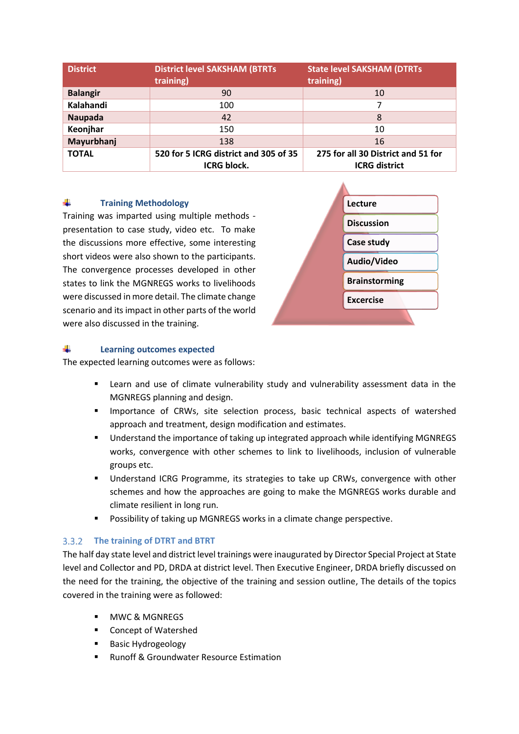| <b>District</b> | <b>District level SAKSHAM (BTRTs)</b><br>training)          | <b>State level SAKSHAM (DTRTs)</b><br>training)            |
|-----------------|-------------------------------------------------------------|------------------------------------------------------------|
| <b>Balangir</b> | 90                                                          | 10                                                         |
| Kalahandi       | 100                                                         |                                                            |
| Naupada         | 42                                                          | 8                                                          |
| Keonjhar        | 150                                                         | 10                                                         |
| Mayurbhanj      | 138                                                         | 16                                                         |
| <b>TOTAL</b>    | 520 for 5 ICRG district and 305 of 35<br><b>ICRG block.</b> | 275 for all 30 District and 51 for<br><b>ICRG</b> district |

#### ₩. **Training Methodology**

Training was imparted using multiple methods presentation to case study, video etc. To make the discussions more effective, some interesting short videos were also shown to the participants. The convergence processes developed in other states to link the MGNREGS works to livelihoods were discussed in more detail. The climate change scenario and its impact in other parts of the world were also discussed in the training.



#### ÷ **Learning outcomes expected**

The expected learning outcomes were as follows:

- Learn and use of climate vulnerability study and vulnerability assessment data in the MGNREGS planning and design.
- Importance of CRWs, site selection process, basic technical aspects of watershed approach and treatment, design modification and estimates.
- Understand the importance of taking up integrated approach while identifying MGNREGS works, convergence with other schemes to link to livelihoods, inclusion of vulnerable groups etc.
- Understand ICRG Programme, its strategies to take up CRWs, convergence with other schemes and how the approaches are going to make the MGNREGS works durable and climate resilient in long run.
- Possibility of taking up MGNREGS works in a climate change perspective.

### <span id="page-15-0"></span>**The training of DTRT and BTRT**

The half day state level and district level trainings were inaugurated by Director Special Project at State level and Collector and PD, DRDA at district level. Then Executive Engineer, DRDA briefly discussed on the need for the training, the objective of the training and session outline, The details of the topics covered in the training were as followed:

- MWC & MGNRFGS
- Concept of Watershed
- **Basic Hydrogeology**
- **Runoff & Groundwater Resource Estimation**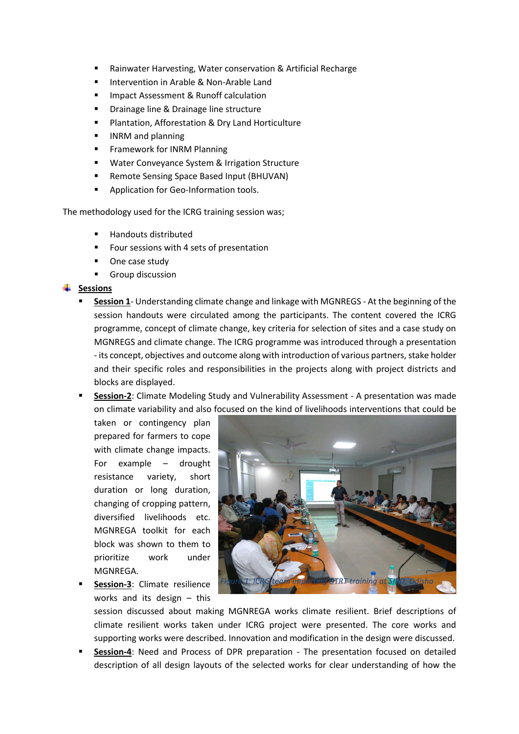- Rainwater Harvesting, Water conservation & Artificial Recharge
- Intervention in Arable & Non-Arable Land
- Impact Assessment & Runoff calculation
- Drainage line & Drainage line structure
- Plantation, Afforestation & Dry Land Horticulture
- INRM and planning
- **Framework for INRM Planning**
- Water Conveyance System & Irrigation Structure
- Remote Sensing Space Based Input (BHUVAN)
- Application for Geo-Information tools.

The methodology used for the ICRG training session was;

- Handouts distributed
- Four sessions with 4 sets of presentation
- One case study
- Group discussion

### **Sessions**

- **Session 1** Understanding climate change and linkage with MGNREGS At the beginning of the session handouts were circulated among the participants. The content covered the ICRG programme, concept of climate change, key criteria for selection of sites and a case study on MGNREGS and climate change. The ICRG programme was introduced through a presentation - its concept, objectives and outcome along with introduction of various partners, stake holder and their specific roles and responsibilities in the projects along with project districts and blocks are displayed.
- **Session-2**: Climate Modeling Study and Vulnerability Assessment A presentation was made on climate variability and also focused on the kind of livelihoods interventions that could be

taken or contingency plan prepared for farmers to cope with climate change impacts. For example – drought resistance variety, short duration or long duration, changing of cropping pattern, diversified livelihoods etc. MGNREGA toolkit for each block was shown to them to prioritize work under MGNREGA.

**Session-3**: Climate resilience works and its design – this



session discussed about making MGNREGA works climate resilient. Brief descriptions of climate resilient works taken under ICRG project were presented. The core works and supporting works were described. Innovation and modification in the design were discussed.

**Session-4**: Need and Process of DPR preparation - The presentation focused on detailed description of all design layouts of the selected works for clear understanding of how the